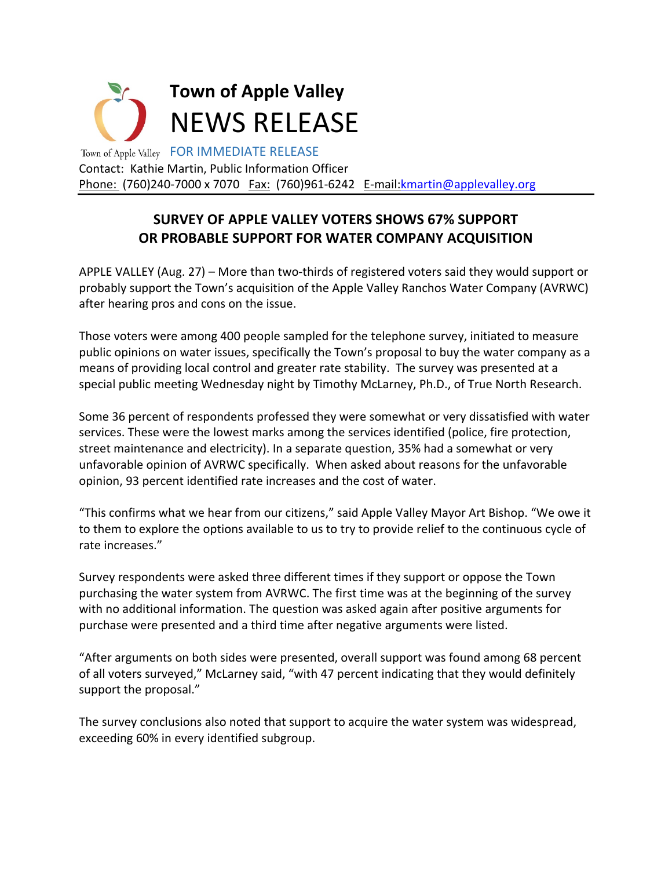

## **SURVEY OF APPLE VALLEY VOTERS SHOWS 67% SUPPORT OR PROBABLE SUPPORT FOR WATER COMPANY ACQUISITION**

APPLE VALLEY (Aug. 27) – More than two-thirds of registered voters said they would support or probably support the Town's acquisition of the Apple Valley Ranchos Water Company (AVRWC) after hearing pros and cons on the issue.

Those voters were among 400 people sampled for the telephone survey, initiated to measure public opinions on water issues, specifically the Town's proposal to buy the water company as a means of providing local control and greater rate stability. The survey was presented at a special public meeting Wednesday night by Timothy McLarney, Ph.D., of True North Research.

Some 36 percent of respondents professed they were somewhat or very dissatisfied with water services. These were the lowest marks among the services identified (police, fire protection, street maintenance and electricity). In a separate question, 35% had a somewhat or very unfavorable opinion of AVRWC specifically. When asked about reasons for the unfavorable opinion, 93 percent identified rate increases and the cost of water.

"This confirms what we hear from our citizens," said Apple Valley Mayor Art Bishop. "We owe it to them to explore the options available to us to try to provide relief to the continuous cycle of rate increases."

Survey respondents were asked three different times if they support or oppose the Town purchasing the water system from AVRWC. The first time was at the beginning of the survey with no additional information. The question was asked again after positive arguments for purchase were presented and a third time after negative arguments were listed.

"After arguments on both sides were presented, overall support was found among 68 percent of all voters surveyed," McLarney said, "with 47 percent indicating that they would definitely support the proposal."

The survey conclusions also noted that support to acquire the water system was widespread, exceeding 60% in every identified subgroup.